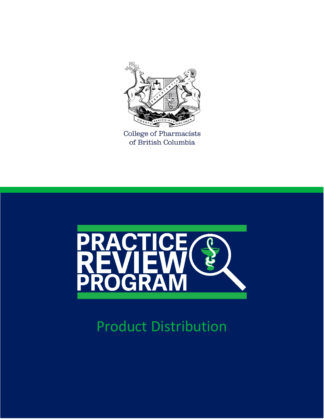

College of Pharmacists of British Columbia



Product Distribution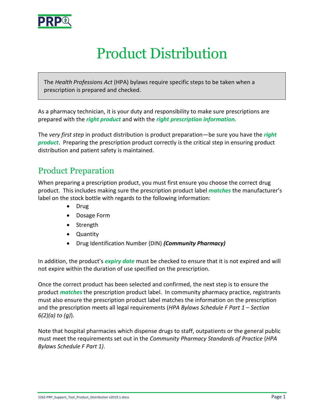

# Product Distribution

The *Health Professions Act* (HPA) bylaws require specific steps to be taken when a prescription is prepared and checked.

As a pharmacy technician, it is your duty and responsibility to make sure prescriptions are prepared with the *right product* and with the *right prescription information.*

The *very first step* in product distribution is product preparation—be sure you have the *right product*. Preparing the prescription product correctly is the critical step in ensuring product distribution and patient safety is maintained.

### Product Preparation

When preparing a prescription product, you must first ensure you choose the correct drug product. This includes making sure the prescription product label *matches* the manufacturer's label on the stock bottle with regards to the following information:

- Drug
- Dosage Form
- Strength
- Quantity
- Drug Identification Number (DIN) *(Community Pharmacy)*

In addition, the product's *expiry date* must be checked to ensure that it is not expired and will not expire within the duration of use specified on the prescription.

Once the correct product has been selected and confirmed, the next step is to ensure the product *matches* the prescription product label. In community pharmacy practice, registrants must also ensure the prescription product label matches the information on the prescription and the prescription meets all legal requirements (*HPA Bylaws Schedule F Part 1 – Section 6(2)(a) to (g)*).

Note that hospital pharmacies which dispense drugs to staff, outpatients or the general public must meet the requirements set out in the *Community Pharmacy Standards of Practice* (*HPA Bylaws Schedule F Part 1)*.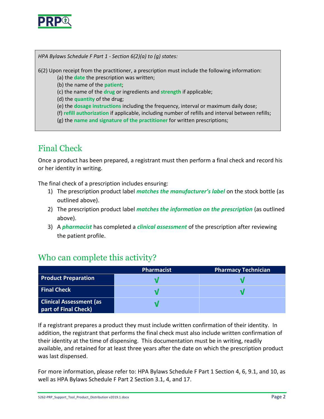

*HPA Bylaws Schedule F Part 1 - Section 6(2)(a) to (g) states:*

6(2) Upon receipt from the practitioner, a prescription must include the following information:

(a) the **date** the prescription was written;

(b) the name of the **patient**;

(c) the name of the **drug** or ingredients and **strength** if applicable;

(d) the **quantity** of the drug;

(e) the **dosage instructions** including the frequency, interval or maximum daily dose;

(f) **refill authorization** if applicable, including number of refills and interval between refills;

(g) the **name and signature of the practitioner** for written prescriptions;

## Final Check

Once a product has been prepared, a registrant must then perform a final check and record his or her identity in writing.

The final check of a prescription includes ensuring:

- 1) The prescription product label *matches the manufacturer's label* on the stock bottle (as outlined above).
- 2) The prescription product label *matches the information on the prescription* (as outlined above).
- 3) A *pharmacist* has completed a *clinical assessment* of the prescription after reviewing the patient profile.

#### Who can complete this activity?

|                                                        | <b>Pharmacist</b> | <b>Pharmacy Technician</b> |
|--------------------------------------------------------|-------------------|----------------------------|
| <b>Product Preparation</b>                             |                   |                            |
| <b>Final Check</b>                                     |                   |                            |
| <b>Clinical Assessment (as</b><br>part of Final Check) |                   |                            |

If a registrant prepares a product they must include written confirmation of their identity. In addition, the registrant that performs the final check must also include written confirmation of their identity at the time of dispensing. This documentation must be in writing, readily available, and retained for at least three years after the date on which the prescription product was last dispensed.

For more information, please refer to: HPA Bylaws Schedule F Part 1 Section 4, 6, 9.1, and 10, as well as HPA Bylaws Schedule F Part 2 Section 3.1, 4, and 17.